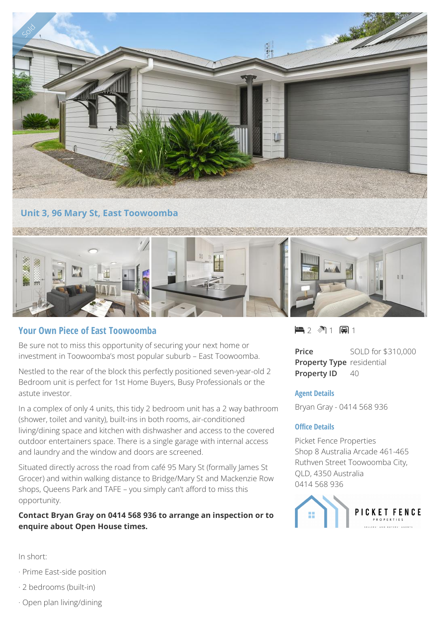

# **Your Own Piece of East Toowoomba**

Be sure not to miss this opportunity of securing your next home or investment in Toowoomba's most popular suburb – East Toowoomba.

Nestled to the rear of the block this perfectly positioned seven-year-old 2 Bedroom unit is perfect for 1st Home Buyers, Busy Professionals or the astute investor.

In a complex of only 4 units, this tidy 2 bedroom unit has a 2 way bathroom (shower, toilet and vanity), built-ins in both rooms, air-conditioned living/dining space and kitchen with dishwasher and access to the covered outdoor entertainers space. There is a single garage with internal access and laundry and the window and doors are screened.

Situated directly across the road from café 95 Mary St (formally James St Grocer) and within walking distance to Bridge/Mary St and Mackenzie Row shops, Queens Park and TAFE – you simply can't afford to miss this opportunity.

## **Contact Bryan Gray on 0414 568 936 to arrange an inspection or to enquire about Open House times.**

 $-2$   $\sqrt[3]{1}$   $-1$ 

**Price** SOLD for \$310,000 **Property Type** residential **Property ID** 40

### **Agent Details**

Bryan Gray - 0414 568 936

#### **Office Details**

Picket Fence Properties Shop 8 Australia Arcade 461-465 Ruthven Street Toowoomba City, QLD, 4350 Australia 0414 568 936



In short:

- · Prime East-side position
- · 2 bedrooms (built-in)
- · Open plan living/dining